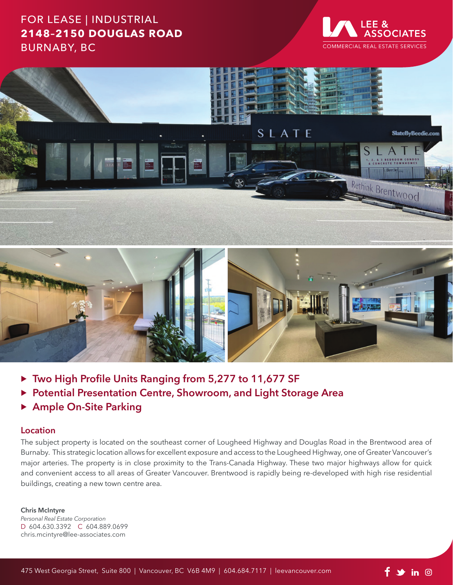## FOR LEASE | INDUSTRIAL **2148–2150 DOUGLAS ROAD** BURNABY, BC





- ▶ Two High Profile Units Ranging from 5,277 to 11,677 SF
- ▶ Potential Presentation Centre, Showroom, and Light Storage Area
- **Ample On-Site Parking**

#### **Location**

The subject property is located on the southeast corner of Lougheed Highway and Douglas Road in the Brentwood area of Burnaby. This strategic location allows for excellent exposure and access to the Lougheed Highway, one of Greater Vancouver's major arteries. The property is in close proximity to the Trans-Canada Highway. These two major highways allow for quick and convenient access to all areas of Greater Vancouver. Brentwood is rapidly being re-developed with high rise residential buildings, creating a new town centre area.

#### **Chris McIntyre**

*Personal Real Estate Corporation* D 604.630.3392 C 604.889.0699 chris.mcintyre@lee-associates.com